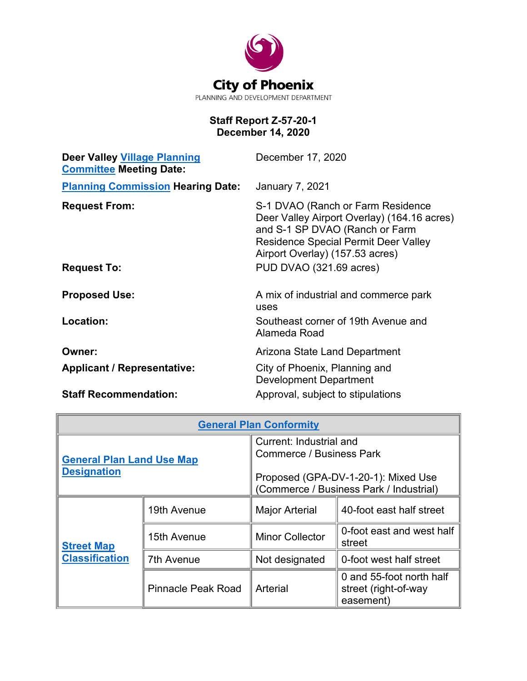

## **Staff Report Z-57-20-1 December 14, 2020**

| December 17, 2020                                                                                                                                                                                    |
|------------------------------------------------------------------------------------------------------------------------------------------------------------------------------------------------------|
| <b>January 7, 2021</b>                                                                                                                                                                               |
| S-1 DVAO (Ranch or Farm Residence<br>Deer Valley Airport Overlay) (164.16 acres)<br>and S-1 SP DVAO (Ranch or Farm<br><b>Residence Special Permit Deer Valley</b><br>Airport Overlay) (157.53 acres) |
| PUD DVAO (321.69 acres)                                                                                                                                                                              |
| A mix of industrial and commerce park<br>uses                                                                                                                                                        |
| Southeast corner of 19th Avenue and<br>Alameda Road                                                                                                                                                  |
| Arizona State Land Department                                                                                                                                                                        |
| City of Phoenix, Planning and<br><b>Development Department</b>                                                                                                                                       |
| Approval, subject to stipulations                                                                                                                                                                    |
|                                                                                                                                                                                                      |

| <b>General Plan Conformity</b>                         |                           |                                                                                                                                              |                                                               |  |  |  |  |
|--------------------------------------------------------|---------------------------|----------------------------------------------------------------------------------------------------------------------------------------------|---------------------------------------------------------------|--|--|--|--|
| <b>General Plan Land Use Map</b><br><b>Designation</b> |                           | Current: Industrial and<br><b>Commerce / Business Park</b><br>Proposed (GPA-DV-1-20-1): Mixed Use<br>(Commerce / Business Park / Industrial) |                                                               |  |  |  |  |
| <b>Street Map</b><br><b>Classification</b>             | 19th Avenue               | <b>Major Arterial</b>                                                                                                                        | 40-foot east half street                                      |  |  |  |  |
|                                                        | 15th Avenue               | <b>Minor Collector</b>                                                                                                                       | 0-foot east and west half<br>street                           |  |  |  |  |
|                                                        | 7th Avenue                | Not designated                                                                                                                               | 0-foot west half street                                       |  |  |  |  |
|                                                        | <b>Pinnacle Peak Road</b> | Arterial                                                                                                                                     | 0 and 55-foot north half<br>street (right-of-way<br>easement) |  |  |  |  |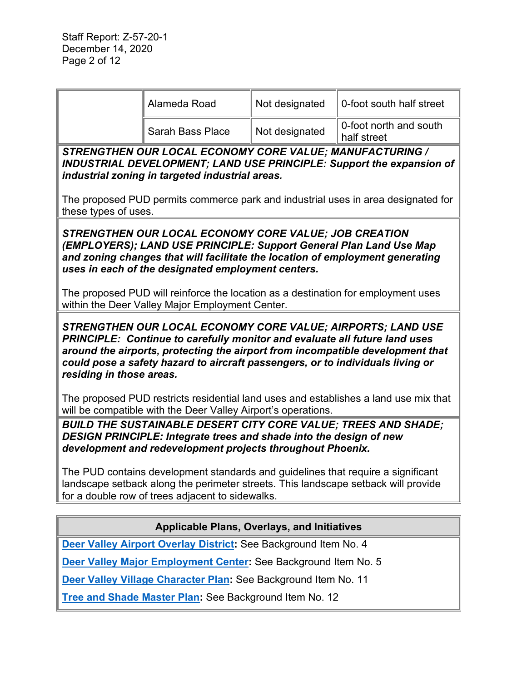|                                                                                                                                                                                                                                                                                                                                                                                                                                                                                                    | Alameda Road                                                                                                                                                                                                               | Not designated | 0-foot south half street              |  |  |  |  |
|----------------------------------------------------------------------------------------------------------------------------------------------------------------------------------------------------------------------------------------------------------------------------------------------------------------------------------------------------------------------------------------------------------------------------------------------------------------------------------------------------|----------------------------------------------------------------------------------------------------------------------------------------------------------------------------------------------------------------------------|----------------|---------------------------------------|--|--|--|--|
|                                                                                                                                                                                                                                                                                                                                                                                                                                                                                                    | <b>Sarah Bass Place</b>                                                                                                                                                                                                    | Not designated | 0-foot north and south<br>half street |  |  |  |  |
| STRENGTHEN OUR LOCAL ECONOMY CORE VALUE; MANUFACTURING /<br>INDUSTRIAL DEVELOPMENT; LAND USE PRINCIPLE: Support the expansion of<br>industrial zoning in targeted industrial areas.                                                                                                                                                                                                                                                                                                                |                                                                                                                                                                                                                            |                |                                       |  |  |  |  |
| The proposed PUD permits commerce park and industrial uses in area designated for<br>these types of uses.                                                                                                                                                                                                                                                                                                                                                                                          |                                                                                                                                                                                                                            |                |                                       |  |  |  |  |
| STRENGTHEN OUR LOCAL ECONOMY CORE VALUE; JOB CREATION<br>(EMPLOYERS); LAND USE PRINCIPLE: Support General Plan Land Use Map<br>and zoning changes that will facilitate the location of employment generating<br>uses in each of the designated employment centers.<br>The proposed PUD will reinforce the location as a destination for employment uses<br>within the Deer Valley Major Employment Center.                                                                                         |                                                                                                                                                                                                                            |                |                                       |  |  |  |  |
| STRENGTHEN OUR LOCAL ECONOMY CORE VALUE; AIRPORTS; LAND USE<br>PRINCIPLE: Continue to carefully monitor and evaluate all future land uses<br>around the airports, protecting the airport from incompatible development that<br>could pose a safety hazard to aircraft passengers, or to individuals living or<br>residing in those areas.<br>The proposed PUD restricts residential land uses and establishes a land use mix that<br>will be compatible with the Deer Valley Airport's operations. |                                                                                                                                                                                                                            |                |                                       |  |  |  |  |
| <b>BUILD THE SUSTAINABLE DESERT CITY CORE VALUE; TREES AND SHADE;</b><br>DESIGN PRINCIPLE: Integrate trees and shade into the design of new<br>development and redevelopment projects throughout Phoenix.                                                                                                                                                                                                                                                                                          |                                                                                                                                                                                                                            |                |                                       |  |  |  |  |
|                                                                                                                                                                                                                                                                                                                                                                                                                                                                                                    | The PUD contains development standards and guidelines that require a significant<br>landscape setback along the perimeter streets. This landscape setback will provide<br>for a double row of trees adjacent to sidewalks. |                |                                       |  |  |  |  |
| <b>Applicable Plans, Overlays, and Initiatives</b>                                                                                                                                                                                                                                                                                                                                                                                                                                                 |                                                                                                                                                                                                                            |                |                                       |  |  |  |  |
| Deer Valley Airport Overlay District: See Background Item No. 4                                                                                                                                                                                                                                                                                                                                                                                                                                    |                                                                                                                                                                                                                            |                |                                       |  |  |  |  |
| Deer Valley Major Employment Center: See Background Item No. 5                                                                                                                                                                                                                                                                                                                                                                                                                                     |                                                                                                                                                                                                                            |                |                                       |  |  |  |  |

**[Deer Valley Village Character Plan:](https://www.phoenix.gov/villagessite/Documents/pdd_pz_pdf_00472.pdf)** See Background Item No. 11

**Tree and [Shade Master Plan:](https://www.phoenix.gov/parks/parks/urban-forest/tree-and-shade)** See Background Item No. 12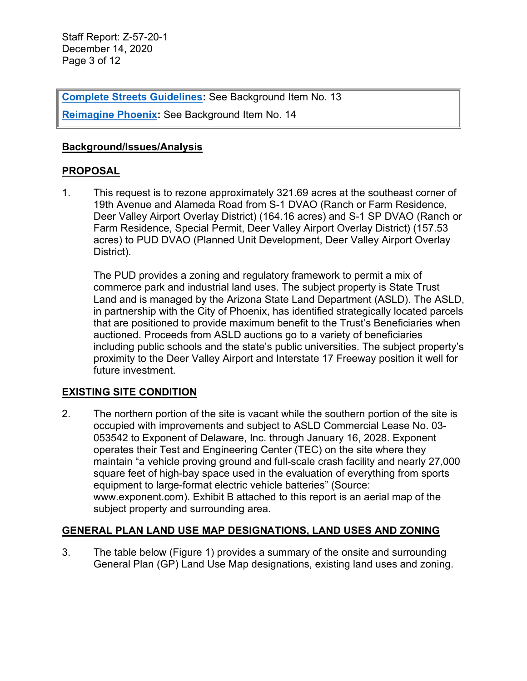Staff Report: Z-57-20-1 December 14, 2020 Page 3 of 12

**[Complete Streets Guidelines:](https://www.phoenix.gov/streets/complete-streets-program) See Background Item No. 13** 

**[Reimagine Phoenix:](https://www.phoenix.gov/publicworks/reimagine)** See Background Item No. 14

#### **Background/Issues/Analysis**

#### **PROPOSAL**

1. This request is to rezone approximately 321.69 acres at the southeast corner of 19th Avenue and Alameda Road from S-1 DVAO (Ranch or Farm Residence, Deer Valley Airport Overlay District) (164.16 acres) and S-1 SP DVAO (Ranch or Farm Residence, Special Permit, Deer Valley Airport Overlay District) (157.53 acres) to PUD DVAO (Planned Unit Development, Deer Valley Airport Overlay District).

The PUD provides a zoning and regulatory framework to permit a mix of commerce park and industrial land uses. The subject property is State Trust Land and is managed by the Arizona State Land Department (ASLD). The ASLD, in partnership with the City of Phoenix, has identified strategically located parcels that are positioned to provide maximum benefit to the Trust's Beneficiaries when auctioned. Proceeds from ASLD auctions go to a variety of beneficiaries including public schools and the state's public universities. The subject property's proximity to the Deer Valley Airport and Interstate 17 Freeway position it well for future investment.

## **EXISTING SITE CONDITION**

2. The northern portion of the site is vacant while the southern portion of the site is occupied with improvements and subject to ASLD Commercial Lease No. 03- 053542 to Exponent of Delaware, Inc. through January 16, 2028. Exponent operates their Test and Engineering Center (TEC) on the site where they maintain "a vehicle proving ground and full-scale crash facility and nearly 27,000 square feet of high-bay space used in the evaluation of everything from sports equipment to large-format electric vehicle batteries" (Source: www.exponent.com). Exhibit B attached to this report is an aerial map of the subject property and surrounding area.

## **GENERAL PLAN LAND USE MAP DESIGNATIONS, LAND USES AND ZONING**

3. The table below (Figure 1) provides a summary of the onsite and surrounding General Plan (GP) Land Use Map designations, existing land uses and zoning.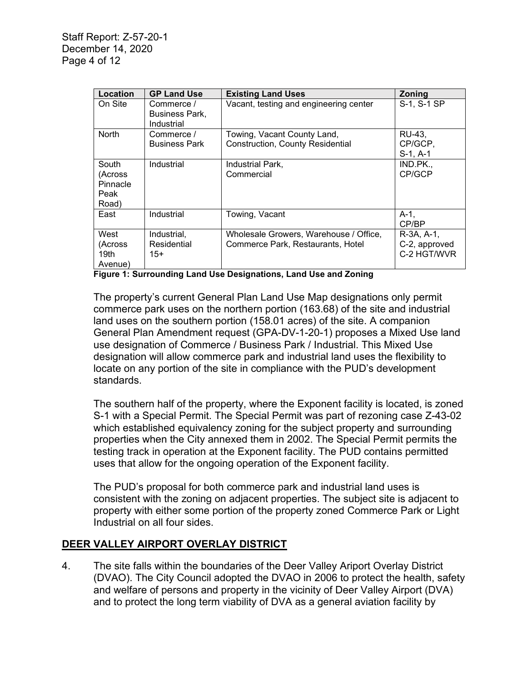| Location                                      | <b>GP Land Use</b>                         | <b>Existing Land Uses</b>                                                   | Zoning                                     |
|-----------------------------------------------|--------------------------------------------|-----------------------------------------------------------------------------|--------------------------------------------|
| On Site                                       | Commerce /<br>Business Park,<br>Industrial | Vacant, testing and engineering center                                      | S-1, S-1 SP                                |
| <b>North</b>                                  | Commerce /<br><b>Business Park</b>         | Towing, Vacant County Land,<br><b>Construction, County Residential</b>      | RU-43,<br>CP/GCP,<br>$S-1, A-1$            |
| South<br>(Across<br>Pinnacle<br>Peak<br>Road) | Industrial                                 | Industrial Park.<br>Commercial                                              | IND.PK.<br>CP/GCP                          |
| East                                          | Industrial                                 | Towing, Vacant                                                              | $A-1$ ,<br>CP/BP                           |
| West<br>(Across<br>19th<br>Avenue)            | Industrial,<br>Residential<br>$15+$        | Wholesale Growers, Warehouse / Office,<br>Commerce Park, Restaurants, Hotel | R-3A, A-1,<br>C-2, approved<br>C-2 HGT/WVR |

**Figure 1: Surrounding Land Use Designations, Land Use and Zoning**

The property's current General Plan Land Use Map designations only permit commerce park uses on the northern portion (163.68) of the site and industrial land uses on the southern portion (158.01 acres) of the site. A companion General Plan Amendment request (GPA-DV-1-20-1) proposes a Mixed Use land use designation of Commerce / Business Park / Industrial. This Mixed Use designation will allow commerce park and industrial land uses the flexibility to locate on any portion of the site in compliance with the PUD's development standards.

The southern half of the property, where the Exponent facility is located, is zoned S-1 with a Special Permit. The Special Permit was part of rezoning case Z-43-02 which established equivalency zoning for the subject property and surrounding properties when the City annexed them in 2002. The Special Permit permits the testing track in operation at the Exponent facility. The PUD contains permitted uses that allow for the ongoing operation of the Exponent facility.

The PUD's proposal for both commerce park and industrial land uses is consistent with the zoning on adjacent properties. The subject site is adjacent to property with either some portion of the property zoned Commerce Park or Light Industrial on all four sides.

## **DEER VALLEY AIRPORT OVERLAY DISTRICT**

4. The site falls within the boundaries of the Deer Valley Ariport Overlay District (DVAO). The City Council adopted the DVAO in 2006 to protect the health, safety and welfare of persons and property in the vicinity of Deer Valley Airport (DVA) and to protect the long term viability of DVA as a general aviation facility by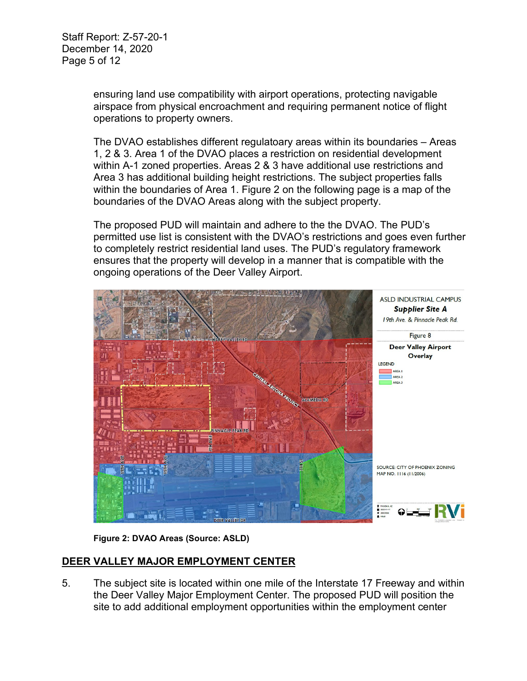Staff Report: Z-57-20-1 December 14, 2020 Page 5 of 12

> ensuring land use compatibility with airport operations, protecting navigable airspace from physical encroachment and requiring permanent notice of flight operations to property owners.

The DVAO establishes different regulatoary areas within its boundaries – Areas 1, 2 & 3. Area 1 of the DVAO places a restriction on residential development within A-1 zoned properties. Areas 2 & 3 have additional use restrictions and Area 3 has additional building height restrictions. The subject properties falls within the boundaries of Area 1. Figure 2 on the following page is a map of the boundaries of the DVAO Areas along with the subject property.

The proposed PUD will maintain and adhere to the the DVAO. The PUD's permitted use list is consistent with the DVAO's restrictions and goes even further to completely restrict residential land uses. The PUD's regulatory framework ensures that the property will develop in a manner that is compatible with the ongoing operations of the Deer Valley Airport.



**Figure 2: DVAO Areas (Source: ASLD)**

## **DEER VALLEY MAJOR EMPLOYMENT CENTER**

5. The subject site is located within one mile of the Interstate 17 Freeway and within the Deer Valley Major Employment Center. The proposed PUD will position the site to add additional employment opportunities within the employment center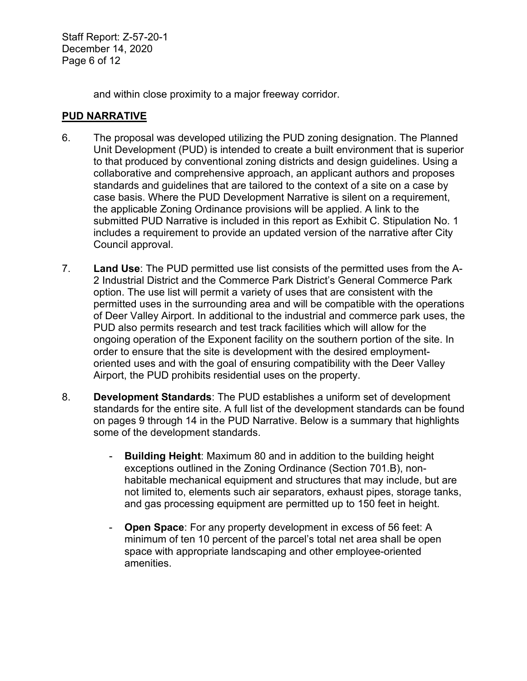Staff Report: Z-57-20-1 December 14, 2020 Page 6 of 12

and within close proximity to a major freeway corridor.

#### **PUD NARRATIVE**

- 6. The proposal was developed utilizing the PUD zoning designation. The Planned Unit Development (PUD) is intended to create a built environment that is superior to that produced by conventional zoning districts and design guidelines. Using a collaborative and comprehensive approach, an applicant authors and proposes standards and guidelines that are tailored to the context of a site on a case by case basis. Where the PUD Development Narrative is silent on a requirement, the applicable Zoning Ordinance provisions will be applied. A link to the submitted PUD Narrative is included in this report as Exhibit C. Stipulation No. 1 includes a requirement to provide an updated version of the narrative after City Council approval.
- 7. **Land Use**: The PUD permitted use list consists of the permitted uses from the A-2 Industrial District and the Commerce Park District's General Commerce Park option. The use list will permit a variety of uses that are consistent with the permitted uses in the surrounding area and will be compatible with the operations of Deer Valley Airport. In additional to the industrial and commerce park uses, the PUD also permits research and test track facilities which will allow for the ongoing operation of the Exponent facility on the southern portion of the site. In order to ensure that the site is development with the desired employmentoriented uses and with the goal of ensuring compatibility with the Deer Valley Airport, the PUD prohibits residential uses on the property.
- 8. **Development Standards**: The PUD establishes a uniform set of development standards for the entire site. A full list of the development standards can be found on pages 9 through 14 in the PUD Narrative. Below is a summary that highlights some of the development standards.
	- **Building Height**: Maximum 80 and in addition to the building height exceptions outlined in the Zoning Ordinance (Section 701.B), nonhabitable mechanical equipment and structures that may include, but are not limited to, elements such air separators, exhaust pipes, storage tanks, and gas processing equipment are permitted up to 150 feet in height.
	- **Open Space**: For any property development in excess of 56 feet: A minimum of ten 10 percent of the parcel's total net area shall be open space with appropriate landscaping and other employee-oriented amenities.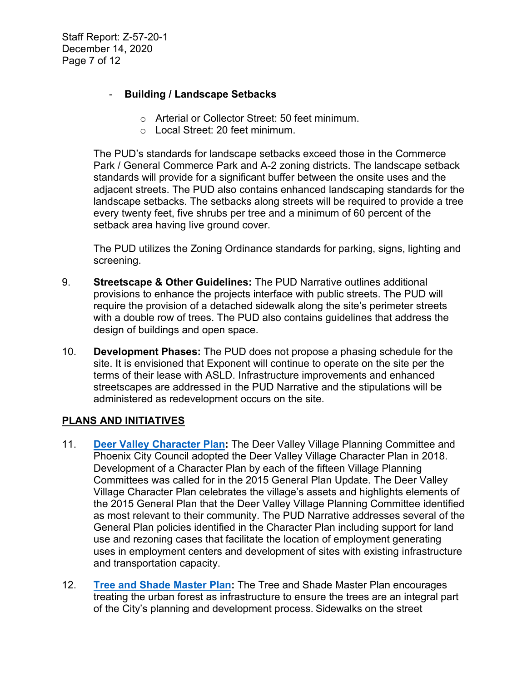Staff Report: Z-57-20-1 December 14, 2020 Page 7 of 12

## - **Building / Landscape Setbacks**

- o Arterial or Collector Street: 50 feet minimum.
- o Local Street: 20 feet minimum.

The PUD's standards for landscape setbacks exceed those in the Commerce Park / General Commerce Park and A-2 zoning districts. The landscape setback standards will provide for a significant buffer between the onsite uses and the adjacent streets. The PUD also contains enhanced landscaping standards for the landscape setbacks. The setbacks along streets will be required to provide a tree every twenty feet, five shrubs per tree and a minimum of 60 percent of the setback area having live ground cover.

The PUD utilizes the Zoning Ordinance standards for parking, signs, lighting and screening.

- 9. **Streetscape & Other Guidelines:** The PUD Narrative outlines additional provisions to enhance the projects interface with public streets. The PUD will require the provision of a detached sidewalk along the site's perimeter streets with a double row of trees. The PUD also contains guidelines that address the design of buildings and open space.
- 10. **Development Phases:** The PUD does not propose a phasing schedule for the site. It is envisioned that Exponent will continue to operate on the site per the terms of their lease with ASLD. Infrastructure improvements and enhanced streetscapes are addressed in the PUD Narrative and the stipulations will be administered as redevelopment occurs on the site.

## **PLANS AND INITIATIVES**

- 11. **[Deer Valley Character Plan:](https://www.phoenix.gov/villagessite/Documents/pdd_pz_pdf_00472.pdf)** The Deer Valley Village Planning Committee and Phoenix City Council adopted the Deer Valley Village Character Plan in 2018. Development of a Character Plan by each of the fifteen Village Planning Committees was called for in the 2015 General Plan Update. The Deer Valley Village Character Plan celebrates the village's assets and highlights elements of the 2015 General Plan that the Deer Valley Village Planning Committee identified as most relevant to their community. The PUD Narrative addresses several of the General Plan policies identified in the Character Plan including support for land use and rezoning cases that facilitate the location of employment generating uses in employment centers and development of sites with existing infrastructure and transportation capacity.
- 12. **[Tree and Shade Master](https://www.phoenix.gov/parks/parks/urban-forest/tree-and-shade) Plan:** The Tree and Shade Master Plan encourages treating the urban forest as infrastructure to ensure the trees are an integral part of the City's planning and development process. Sidewalks on the street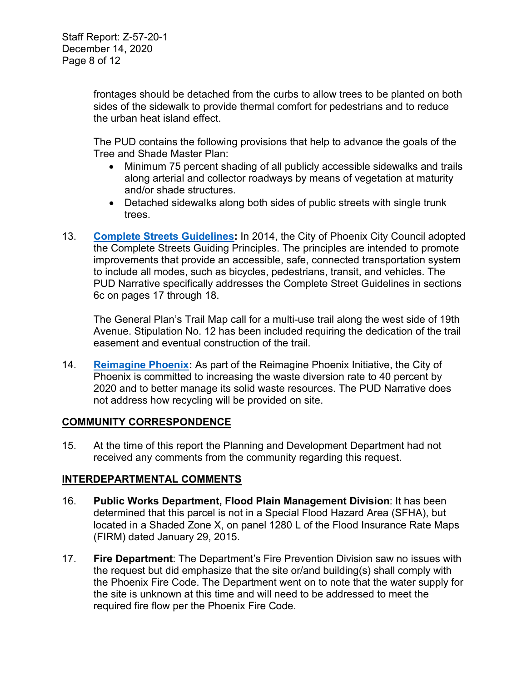frontages should be detached from the curbs to allow trees to be planted on both sides of the sidewalk to provide thermal comfort for pedestrians and to reduce the urban heat island effect.

The PUD contains the following provisions that help to advance the goals of the Tree and Shade Master Plan:

- Minimum 75 percent shading of all publicly accessible sidewalks and trails along arterial and collector roadways by means of vegetation at maturity and/or shade structures.
- Detached sidewalks along both sides of public streets with single trunk trees.
- 13. **[Complete Streets](https://www.phoenix.gov/streets/complete-streets-program) Guidelines:** In 2014, the City of Phoenix City Council adopted the Complete Streets Guiding Principles. The principles are intended to promote improvements that provide an accessible, safe, connected transportation system to include all modes, such as bicycles, pedestrians, transit, and vehicles. The PUD Narrative specifically addresses the Complete Street Guidelines in sections 6c on pages 17 through 18.

The General Plan's Trail Map call for a multi-use trail along the west side of 19th Avenue. Stipulation No. 12 has been included requiring the dedication of the trail easement and eventual construction of the trail.

14. **[Reimagine Phoenix:](https://www.phoenix.gov/publicworks/reimagine)** As part of the Reimagine Phoenix Initiative, the City of Phoenix is committed to increasing the waste diversion rate to 40 percent by 2020 and to better manage its solid waste resources. The PUD Narrative does not address how recycling will be provided on site.

# **COMMUNITY CORRESPONDENCE**

15. At the time of this report the Planning and Development Department had not received any comments from the community regarding this request.

## **INTERDEPARTMENTAL COMMENTS**

- 16. **Public Works Department, Flood Plain Management Division**: It has been determined that this parcel is not in a Special Flood Hazard Area (SFHA), but located in a Shaded Zone X, on panel 1280 L of the Flood Insurance Rate Maps (FIRM) dated January 29, 2015.
- 17. **Fire Department**: The Department's Fire Prevention Division saw no issues with the request but did emphasize that the site or/and building(s) shall comply with the Phoenix Fire Code. The Department went on to note that the water supply for the site is unknown at this time and will need to be addressed to meet the required fire flow per the Phoenix Fire Code.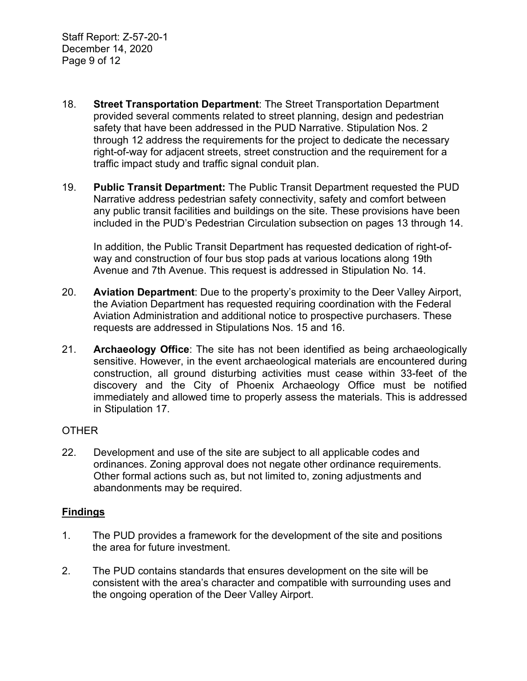- 18. **Street Transportation Department**: The Street Transportation Department provided several comments related to street planning, design and pedestrian safety that have been addressed in the PUD Narrative. Stipulation Nos. 2 through 12 address the requirements for the project to dedicate the necessary right-of-way for adjacent streets, street construction and the requirement for a traffic impact study and traffic signal conduit plan.
- 19. **Public Transit Department:** The Public Transit Department requested the PUD Narrative address pedestrian safety connectivity, safety and comfort between any public transit facilities and buildings on the site. These provisions have been included in the PUD's Pedestrian Circulation subsection on pages 13 through 14.

In addition, the Public Transit Department has requested dedication of right-ofway and construction of four bus stop pads at various locations along 19th Avenue and 7th Avenue. This request is addressed in Stipulation No. 14.

- 20. **Aviation Department**: Due to the property's proximity to the Deer Valley Airport, the Aviation Department has requested requiring coordination with the Federal Aviation Administration and additional notice to prospective purchasers. These requests are addressed in Stipulations Nos. 15 and 16.
- 21. **Archaeology Office**: The site has not been identified as being archaeologically sensitive. However, in the event archaeological materials are encountered during construction, all ground disturbing activities must cease within 33-feet of the discovery and the City of Phoenix Archaeology Office must be notified immediately and allowed time to properly assess the materials. This is addressed in Stipulation 17.

#### OTHER

22. Development and use of the site are subject to all applicable codes and ordinances. Zoning approval does not negate other ordinance requirements. Other formal actions such as, but not limited to, zoning adjustments and abandonments may be required.

#### **Findings**

- 1. The PUD provides a framework for the development of the site and positions the area for future investment.
- 2. The PUD contains standards that ensures development on the site will be consistent with the area's character and compatible with surrounding uses and the ongoing operation of the Deer Valley Airport.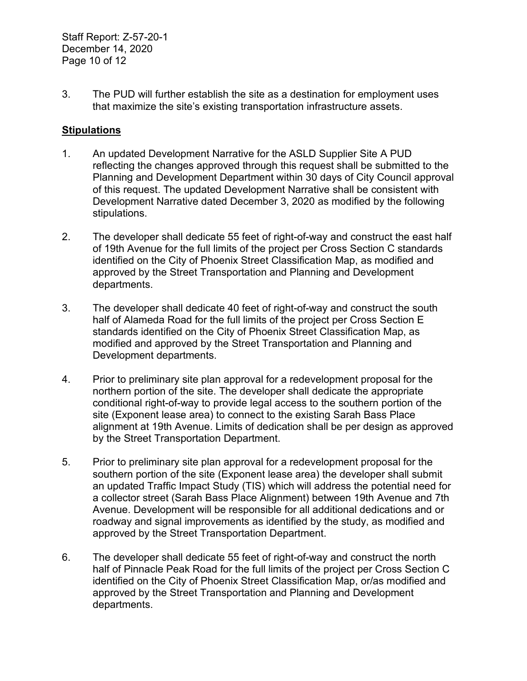Staff Report: Z-57-20-1 December 14, 2020 Page 10 of 12

3. The PUD will further establish the site as a destination for employment uses that maximize the site's existing transportation infrastructure assets.

#### **Stipulations**

- 1. An updated Development Narrative for the ASLD Supplier Site A PUD reflecting the changes approved through this request shall be submitted to the Planning and Development Department within 30 days of City Council approval of this request. The updated Development Narrative shall be consistent with Development Narrative dated December 3, 2020 as modified by the following stipulations.
- 2. The developer shall dedicate 55 feet of right-of-way and construct the east half of 19th Avenue for the full limits of the project per Cross Section C standards identified on the City of Phoenix Street Classification Map, as modified and approved by the Street Transportation and Planning and Development departments.
- 3. The developer shall dedicate 40 feet of right-of-way and construct the south half of Alameda Road for the full limits of the project per Cross Section E standards identified on the City of Phoenix Street Classification Map, as modified and approved by the Street Transportation and Planning and Development departments.
- 4. Prior to preliminary site plan approval for a redevelopment proposal for the northern portion of the site. The developer shall dedicate the appropriate conditional right-of-way to provide legal access to the southern portion of the site (Exponent lease area) to connect to the existing Sarah Bass Place alignment at 19th Avenue. Limits of dedication shall be per design as approved by the Street Transportation Department.
- 5. Prior to preliminary site plan approval for a redevelopment proposal for the southern portion of the site (Exponent lease area) the developer shall submit an updated Traffic Impact Study (TIS) which will address the potential need for a collector street (Sarah Bass Place Alignment) between 19th Avenue and 7th Avenue. Development will be responsible for all additional dedications and or roadway and signal improvements as identified by the study, as modified and approved by the Street Transportation Department.
- 6. The developer shall dedicate 55 feet of right-of-way and construct the north half of Pinnacle Peak Road for the full limits of the project per Cross Section C identified on the City of Phoenix Street Classification Map, or/as modified and approved by the Street Transportation and Planning and Development departments.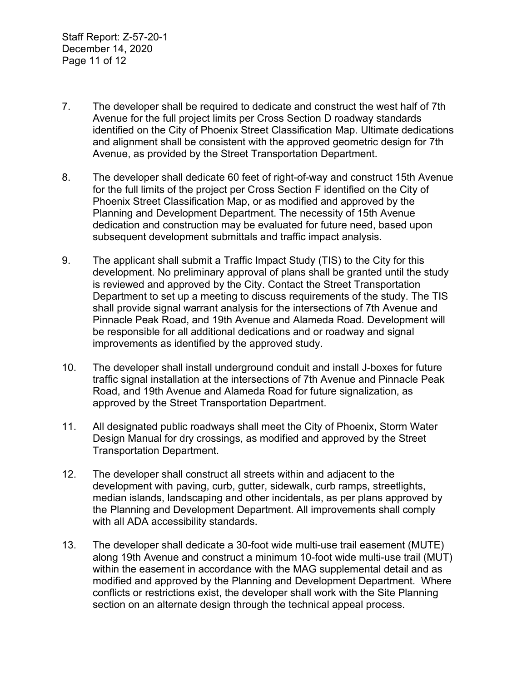Staff Report: Z-57-20-1 December 14, 2020 Page 11 of 12

- 7. The developer shall be required to dedicate and construct the west half of 7th Avenue for the full project limits per Cross Section D roadway standards identified on the City of Phoenix Street Classification Map. Ultimate dedications and alignment shall be consistent with the approved geometric design for 7th Avenue, as provided by the Street Transportation Department.
- 8. The developer shall dedicate 60 feet of right-of-way and construct 15th Avenue for the full limits of the project per Cross Section F identified on the City of Phoenix Street Classification Map, or as modified and approved by the Planning and Development Department. The necessity of 15th Avenue dedication and construction may be evaluated for future need, based upon subsequent development submittals and traffic impact analysis.
- 9. The applicant shall submit a Traffic Impact Study (TIS) to the City for this development. No preliminary approval of plans shall be granted until the study is reviewed and approved by the City. Contact the Street Transportation Department to set up a meeting to discuss requirements of the study. The TIS shall provide signal warrant analysis for the intersections of 7th Avenue and Pinnacle Peak Road, and 19th Avenue and Alameda Road. Development will be responsible for all additional dedications and or roadway and signal improvements as identified by the approved study.
- 10. The developer shall install underground conduit and install J-boxes for future traffic signal installation at the intersections of 7th Avenue and Pinnacle Peak Road, and 19th Avenue and Alameda Road for future signalization, as approved by the Street Transportation Department.
- 11. All designated public roadways shall meet the City of Phoenix, Storm Water Design Manual for dry crossings, as modified and approved by the Street Transportation Department.
- 12. The developer shall construct all streets within and adjacent to the development with paving, curb, gutter, sidewalk, curb ramps, streetlights, median islands, landscaping and other incidentals, as per plans approved by the Planning and Development Department. All improvements shall comply with all ADA accessibility standards.
- 13. The developer shall dedicate a 30-foot wide multi-use trail easement (MUTE) along 19th Avenue and construct a minimum 10-foot wide multi-use trail (MUT) within the easement in accordance with the MAG supplemental detail and as modified and approved by the Planning and Development Department. Where conflicts or restrictions exist, the developer shall work with the Site Planning section on an alternate design through the technical appeal process.